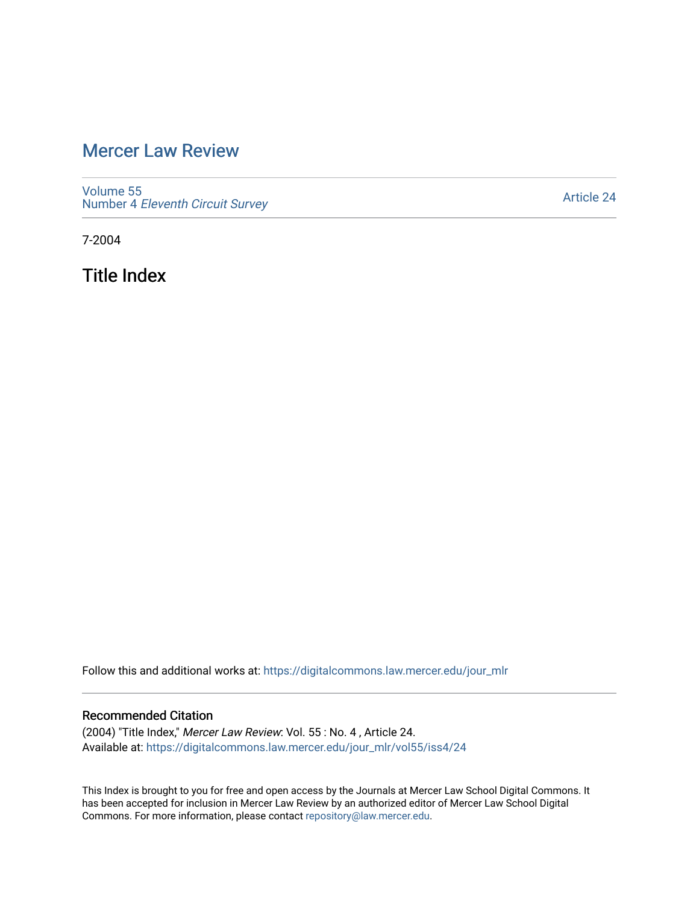## [Mercer Law Review](https://digitalcommons.law.mercer.edu/jour_mlr)

[Volume 55](https://digitalcommons.law.mercer.edu/jour_mlr/vol55) Number 4 [Eleventh Circuit Survey](https://digitalcommons.law.mercer.edu/jour_mlr/vol55/iss4) 

[Article 24](https://digitalcommons.law.mercer.edu/jour_mlr/vol55/iss4/24) 

7-2004

Title Index

Follow this and additional works at: [https://digitalcommons.law.mercer.edu/jour\\_mlr](https://digitalcommons.law.mercer.edu/jour_mlr?utm_source=digitalcommons.law.mercer.edu%2Fjour_mlr%2Fvol55%2Fiss4%2F24&utm_medium=PDF&utm_campaign=PDFCoverPages)

## Recommended Citation

(2004) "Title Index," Mercer Law Review: Vol. 55 : No. 4 , Article 24. Available at: [https://digitalcommons.law.mercer.edu/jour\\_mlr/vol55/iss4/24](https://digitalcommons.law.mercer.edu/jour_mlr/vol55/iss4/24?utm_source=digitalcommons.law.mercer.edu%2Fjour_mlr%2Fvol55%2Fiss4%2F24&utm_medium=PDF&utm_campaign=PDFCoverPages) 

This Index is brought to you for free and open access by the Journals at Mercer Law School Digital Commons. It has been accepted for inclusion in Mercer Law Review by an authorized editor of Mercer Law School Digital Commons. For more information, please contact [repository@law.mercer.edu.](mailto:repository@law.mercer.edu)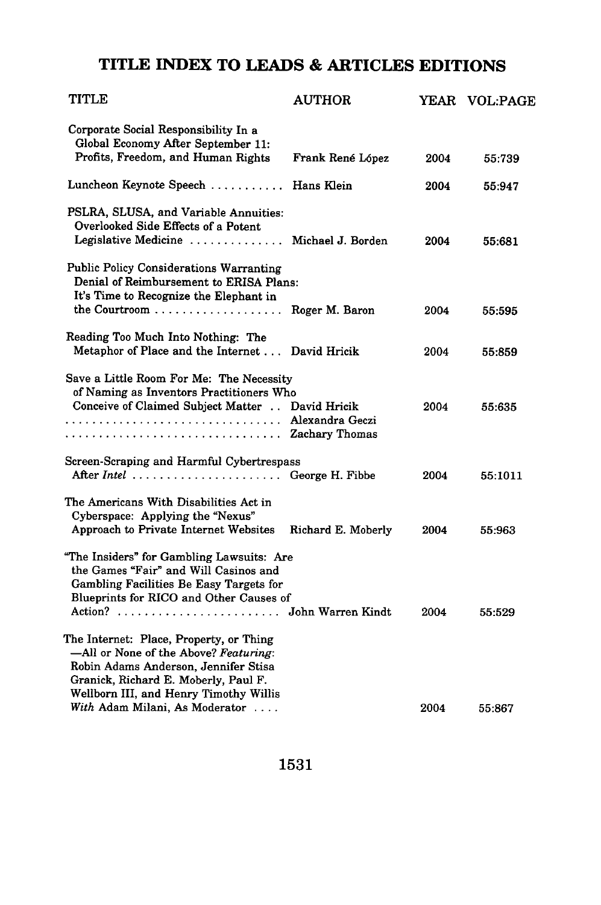## **TITLE INDEX TO LEADS & ARTICLES EDITIONS**

| TITLE                                                                                                                                                                                                      | <b>AUTHOR</b>      |      | YEAR VOL:PAGE |
|------------------------------------------------------------------------------------------------------------------------------------------------------------------------------------------------------------|--------------------|------|---------------|
| Corporate Social Responsibility In a<br>Global Economy After September 11:<br>Profits, Freedom, and Human Rights                                                                                           | Frank René López   | 2004 | 55:739        |
| Luncheon Keynote Speech  Hans Klein                                                                                                                                                                        |                    | 2004 | 55:947        |
| PSLRA, SLUSA, and Variable Annuities:<br>Overlooked Side Effects of a Potent<br>Legislative Medicine  Michael J. Borden                                                                                    |                    | 2004 | 55:681        |
| <b>Public Policy Considerations Warranting</b><br>Denial of Reimbursement to ERISA Plans:<br>It's Time to Recognize the Elephant in                                                                        |                    |      |               |
|                                                                                                                                                                                                            | Roger M. Baron     | 2004 | 55:595        |
| Reading Too Much Into Nothing: The<br>Metaphor of Place and the Internet                                                                                                                                   | David Hricik       | 2004 | 55:859        |
| Save a Little Room For Me: The Necessity<br>of Naming as Inventors Practitioners Who<br>Conceive of Claimed Subject Matter David Hricik                                                                    |                    | 2004 | 55:635        |
| Screen-Scraping and Harmful Cybertrespass<br>After Intel  George H. Fibbe                                                                                                                                  |                    | 2004 | 55:1011       |
| The Americans With Disabilities Act in<br>Cyberspace: Applying the "Nexus"<br>Approach to Private Internet Websites                                                                                        | Richard E. Moberly | 2004 | 55:963        |
| "The Insiders" for Gambling Lawsuits: Are<br>the Games "Fair" and Will Casinos and<br>Gambling Facilities Be Easy Targets for<br>Blueprints for RICO and Other Causes of<br>Action?  John Warren Kindt     |                    | 2004 | 55:529        |
| The Internet: Place, Property, or Thing<br>—All or None of the Above? Featuring:<br>Robin Adams Anderson, Jennifer Stisa<br>Granick, Richard E. Moberly, Paul F.<br>Wellborn III, and Henry Timothy Willis |                    |      |               |
| With Adam Milani, As Moderator                                                                                                                                                                             |                    | 2004 | 55:867        |